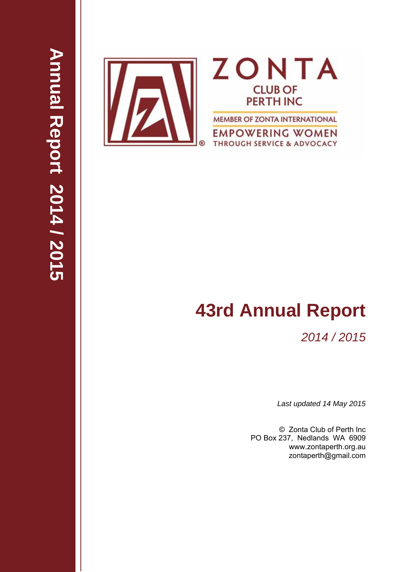

# **43rd Annual Report**

# *2014 / 2015*

*Last updated 14 May 2015* 

© Zonta Club of Perth Inc PO Box 237, Nedlands WA 6909 www.zontaperth.org.au zontaperth@gmail.com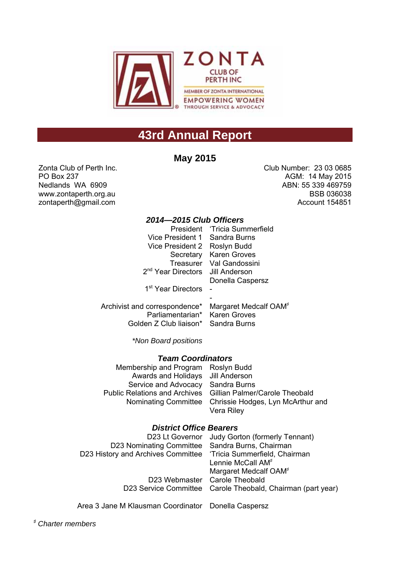

# **43rd Annual Report**

## **May 2015**

Zonta Club of Perth Inc. PO Box 237 Nedlands WA 6909 www.zontaperth.org.au zontaperth@gmail.com

Club Number: 23 03 0685 AGM: 14 May 2015 ABN: 55 339 469759 BSB 036038 Account 154851

#### *2014—2015 Club Officers*

|                                                                 | President 'Tricia Summerfield |
|-----------------------------------------------------------------|-------------------------------|
| Vice President 1 Sandra Burns                                   |                               |
| Vice President 2 Roslyn Budd                                    |                               |
| Secretary                                                       | <b>Karen Groves</b>           |
|                                                                 | Treasurer Val Gandossini      |
| 2 <sup>nd</sup> Year Directors Jill Anderson                    |                               |
|                                                                 | Donella Caspersz              |
| 1 <sup>st</sup> Year Directors                                  |                               |
|                                                                 |                               |
| Archivist and correspondence* Margaret Medcalf OAM <sup>*</sup> |                               |
| Parliamentarian* Karen Groves                                   |                               |
|                                                                 |                               |

*\*Non Board positions*

#### *Team Coordinators*

Golden Z Club liaison\* Sandra Burns

| Membership and Program Roslyn Budd |                                                              |
|------------------------------------|--------------------------------------------------------------|
| Awards and Holidays Jill Anderson  |                                                              |
| Service and Advocacy Sandra Burns  |                                                              |
|                                    | Public Relations and Archives Gillian Palmer/Carole Theobald |
|                                    | Nominating Committee Chrissie Hodges, Lyn McArthur and       |
|                                    | Vera Riley                                                   |

#### *District Office Bearers*

|                                                                  | D23 Lt Governor Judy Gorton (formerly Tennant)              |
|------------------------------------------------------------------|-------------------------------------------------------------|
| D23 Nominating Committee Sandra Burns, Chairman                  |                                                             |
| D23 History and Archives Committee 'Tricia Summerfield, Chairman |                                                             |
|                                                                  | Lennie McCall AM <sup>#</sup>                               |
|                                                                  | Margaret Medcalf OAM <sup>#</sup>                           |
|                                                                  | D23 Webmaster Carole Theobald                               |
|                                                                  | D23 Service Committee Carole Theobald, Chairman (part year) |
|                                                                  |                                                             |

Area 3 Jane M Klausman Coordinator Donella Caspersz

<sup>♯</sup> *Charter members*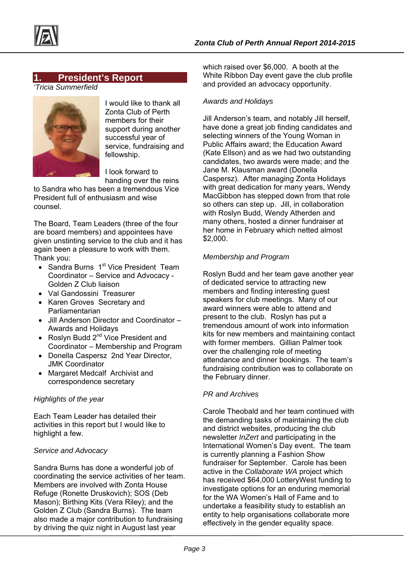



#### **1. President's Report**

*'Tricia Summerfield* 



I would like to thank all Zonta Club of Perth members for their support during another successful year of service, fundraising and fellowship.

I look forward to handing over the reins

to Sandra who has been a tremendous Vice President full of enthusiasm and wise counsel.

The Board, Team Leaders (three of the four are board members) and appointees have given unstinting service to the club and it has again been a pleasure to work with them. Thank you:

- $\bullet$  Sandra Burns 1<sup>st</sup> Vice President Team Coordinator – Service and Advocacy - Golden Z Club liaison
- Val Gandossini Treasurer
- Karen Groves Secretary and Parliamentarian
- Jill Anderson Director and Coordinator Awards and Holidays
- Roslyn Budd  $2^{nd}$  Vice President and Coordinator – Membership and Program
- Donella Caspersz 2nd Year Director, JMK Coordinator
- Margaret Medcalf Archivist and correspondence secretary

#### *Highlights of the year*

Each Team Leader has detailed their activities in this report but I would like to highlight a few.

#### *Service and Advocacy*

Sandra Burns has done a wonderful job of coordinating the service activities of her team. Members are involved with Zonta House Refuge (Ronette Druskovich); SOS (Deb Mason); Birthing Kits (Vera Riley); and the Golden Z Club (Sandra Burns). The team also made a major contribution to fundraising by driving the quiz night in August last year

which raised over \$6,000. A booth at the White Ribbon Day event gave the club profile and provided an advocacy opportunity.

#### *Awards and Holidays*

Jill Anderson's team, and notably Jill herself, have done a great job finding candidates and selecting winners of the Young Woman in Public Affairs award; the Education Award (Kate Ellson) and as we had two outstanding candidates, two awards were made; and the Jane M. Klausman award (Donella Caspersz). After managing Zonta Holidays with great dedication for many years, Wendy MacGibbon has stepped down from that role so others can step up. Jill, in collaboration with Roslyn Budd, Wendy Atherden and many others, hosted a dinner fundraiser at her home in February which netted almost \$2,000.

#### *Membership and Program*

Roslyn Budd and her team gave another year of dedicated service to attracting new members and finding interesting guest speakers for club meetings. Many of our award winners were able to attend and present to the club. Roslyn has put a tremendous amount of work into information kits for new members and maintaining contact with former members. Gillian Palmer took over the challenging role of meeting attendance and dinner bookings. The team's fundraising contribution was to collaborate on the February dinner.

#### *PR and Archives*

Carole Theobald and her team continued with the demanding tasks of maintaining the club and district websites, producing the club newsletter *InZert* and participating in the International Women's Day event. The team is currently planning a Fashion Show fundraiser for September. Carole has been active in the *Collaborate WA* project which has received \$64,000 LotteryWest funding to investigate options for an enduring memorial for the WA Women's Hall of Fame and to undertake a feasibility study to establish an entity to help organisations collaborate more effectively in the gender equality space.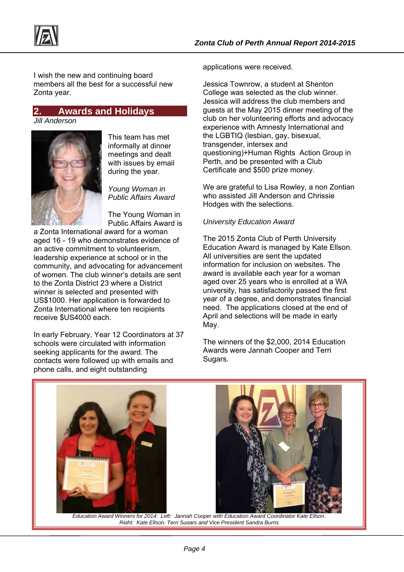

I wish the new and continuing board members all the best for a successful new Zonta year.

# **2. Awards and Holidays**

*Jill Anderson* 



This team has met informally at dinner meetings and dealt with issues by email during the year.

*Young Woman in Public Affairs Award* 

The Young Woman in Public Affairs Award is

a Zonta International award for a woman aged 16 - 19 who demonstrates evidence of an active commitment to volunteerism, leadership experience at school or in the community, and advocating for advancement of women. The club winner's details are sent to the Zonta District 23 where a District winner is selected and presented with US\$1000. Her application is forwarded to Zonta International where ten recipients receive \$US4000 each.

In early February, Year 12 Coordinators at 37 schools were circulated with information seeking applicants for the award. The contacts were followed up with emails and phone calls, and eight outstanding

applications were received.

Jessica Townrow, a student at Shenton College was selected as the club winner. Jessica will address the club members and guests at the May 2015 dinner meeting of the club on her volunteering efforts and advocacy experience with Amnesty International and the LGBTIQ (lesbian, gay, bisexual, transgender, intersex and questioning)+Human Rights Action Group in Perth, and be presented with a Club Certificate and \$500 prize money.

We are grateful to Lisa Rowley, a non Zontian who assisted Jill Anderson and Chrissie Hodges with the selections.

#### *University Education Award*

The 2015 Zonta Club of Perth University Education Award is managed by Kate Ellson. All universities are sent the updated information for inclusion on websites. The award is available each year for a woman aged over 25 years who is enrolled at a WA university, has satisfactorily passed the first year of a degree, and demonstrates financial need. The applications closed at the end of April and selections will be made in early May.

The winners of the \$2,000, 2014 Education Awards were Jannah Cooper and Terri Sugars.



 *Education Award Winners for 2014: Left: Jannah Cooper with Education Award Coordinator Kate Ellson. Right: Kate Ellson, Terri Sugars and Vice President Sandra Burns*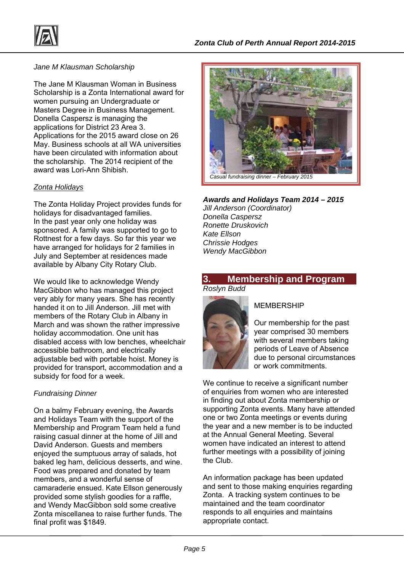

#### *Jane M Klausman Scholarship*

The Jane M Klausman Woman in Business Scholarship is a Zonta International award for women pursuing an Undergraduate or Masters Degree in Business Management. Donella Caspersz is managing the applications for District 23 Area 3. Applications for the 2015 award close on 26 May. Business schools at all WA universities have been circulated with information about the scholarship. The 2014 recipient of the award was Lori-Ann Shibish

#### *Zonta Holidays*

The Zonta Holiday Project provides funds for holidays for disadvantaged families. In the past year only one holiday was sponsored. A family was supported to go to Rottnest for a few days. So far this year we have arranged for holidays for 2 families in July and September at residences made available by Albany City Rotary Club.

We would like to acknowledge Wendy MacGibbon who has managed this project very ably for many years. She has recently handed it on to Jill Anderson. Jill met with members of the Rotary Club in Albany in March and was shown the rather impressive holiday accommodation. One unit has disabled access with low benches, wheelchair accessible bathroom, and electrically adjustable bed with portable hoist. Money is provided for transport, accommodation and a subsidy for food for a week.

#### *Fundraising Dinner*

On a balmy February evening, the Awards and Holidays Team with the support of the Membership and Program Team held a fund raising casual dinner at the home of Jill and David Anderson. Guests and members enjoyed the sumptuous array of salads, hot baked leg ham, delicious desserts, and wine. Food was prepared and donated by team members, and a wonderful sense of camaraderie ensued. Kate Ellson generously provided some stylish goodies for a raffle, and Wendy MacGibbon sold some creative Zonta miscellanea to raise further funds. The final profit was \$1849.



#### *Awards and Holidays Team 2014 – 2015*

*Jill Anderson (Coordinator) Donella Caspersz Ronette Druskovich Kate Ellson Chrissie Hodges Wendy MacGibbon* 

#### **3. Membership and Program**  *Roslyn Budd*



#### MEMBERSHIP

Our membership for the past year comprised 30 members with several members taking periods of Leave of Absence due to personal circumstances or work commitments.

We continue to receive a significant number of enquiries from women who are interested in finding out about Zonta membership or supporting Zonta events. Many have attended one or two Zonta meetings or events during the year and a new member is to be inducted at the Annual General Meeting. Several women have indicated an interest to attend further meetings with a possibility of joining the Club.

An information package has been updated and sent to those making enquiries regarding Zonta. A tracking system continues to be maintained and the team coordinator responds to all enquiries and maintains appropriate contact.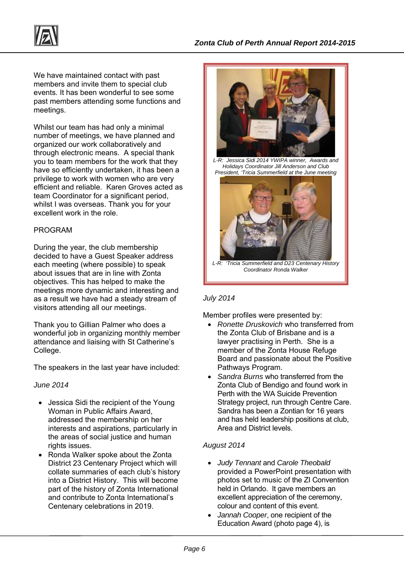

We have maintained contact with past members and invite them to special club events. It has been wonderful to see some past members attending some functions and meetings.

Whilst our team has had only a minimal number of meetings, we have planned and organized our work collaboratively and through electronic means. A special thank you to team members for the work that they have so efficiently undertaken, it has been a privilege to work with women who are very efficient and reliable. Karen Groves acted as team Coordinator for a significant period, whilst I was overseas. Thank you for your excellent work in the role.

#### PROGRAM

During the year, the club membership decided to have a Guest Speaker address each meeting (where possible) to speak about issues that are in line with Zonta objectives. This has helped to make the meetings more dynamic and interesting and as a result we have had a steady stream of visitors attending all our meetings.

Thank you to Gillian Palmer who does a wonderful job in organizing monthly member attendance and liaising with St Catherine's College.

The speakers in the last year have included:

#### *June 2014*

- Jessica Sidi the recipient of the Young Woman in Public Affairs Award, addressed the membership on her interests and aspirations, particularly in the areas of social justice and human rights issues.
- Ronda Walker spoke about the Zonta District 23 Centenary Project which will collate summaries of each club's history into a District History. This will become part of the history of Zonta International and contribute to Zonta International's Centenary celebrations in 2019.



*L-R: Jessica Sidi 2014 YWIPA winner, Awards and Holidays Coordinator Jill Anderson and Club President, 'Tricia Summerfield at the June meeting* 



*L-R: 'Tricia Summerfield and D23 Centenary History Coordinator Ronda Walker* 

#### *July 2014*

Member profiles were presented by:

- *Ronette Druskovich* who transferred from the Zonta Club of Brisbane and is a lawyer practising in Perth. She is a member of the Zonta House Refuge Board and passionate about the Positive Pathways Program.
- *Sandra Burns* who transferred from the Zonta Club of Bendigo and found work in Perth with the WA Suicide Prevention Strategy project, run through Centre Care. Sandra has been a Zontian for 16 years and has held leadership positions at club, Area and District levels.

#### *August 2014*

- *Judy Tennant* and *Carole Theobald* provided a PowerPoint presentation with photos set to music of the ZI Convention held in Orlando. It gave members an excellent appreciation of the ceremony, colour and content of this event.
- *Jannah Cooper*, one recipient of the Education Award (photo page 4), is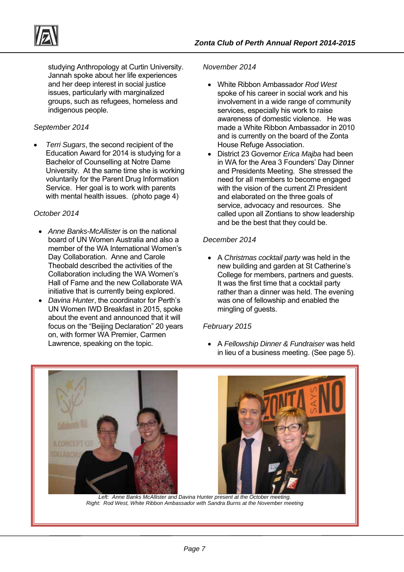

studying Anthropology at Curtin University. Jannah spoke about her life experiences and her deep interest in social justice issues, particularly with marginalized groups, such as refugees, homeless and indigenous people.

#### *September 2014*

 *Terri Sugars*, the second recipient of the Education Award for 2014 is studying for a Bachelor of Counselling at Notre Dame University. At the same time she is working voluntarily for the Parent Drug Information Service. Her goal is to work with parents with mental health issues. (photo page 4)

#### *October 2014*

- *Anne Banks-McAllister* is on the national board of UN Women Australia and also a member of the WA International Women's Day Collaboration. Anne and Carole Theobald described the activities of the Collaboration including the WA Women's Hall of Fame and the new Collaborate WA initiative that is currently being explored.
- *Davina Hunter*, the coordinator for Perth's UN Women IWD Breakfast in 2015, spoke about the event and announced that it will focus on the "Beijing Declaration" 20 years on, with former WA Premier, Carmen Lawrence, speaking on the topic.

#### *November 2014*

- White Ribbon Ambassador *Rod West*  spoke of his career in social work and his involvement in a wide range of community services, especially his work to raise awareness of domestic violence. He was made a White Ribbon Ambassador in 2010 and is currently on the board of the Zonta House Refuge Association.
- District 23 Governor *Erica Majba* had been in WA for the Area 3 Founders' Day Dinner and Presidents Meeting. She stressed the need for all members to become engaged with the vision of the current ZI President and elaborated on the three goals of service, advocacy and resources. She called upon all Zontians to show leadership and be the best that they could be.

#### *December 2014*

 A *Christmas cocktail party* was held in the new building and garden at St Catherine's College for members, partners and guests. It was the first time that a cocktail party rather than a dinner was held. The evening was one of fellowship and enabled the mingling of guests.

#### *February 2015*

 A *Fellowship Dinner & Fundraiser* was held in lieu of a business meeting. (See page 5).





Left: Anne Banks McAllister and Davina Hunter present at the October meeting. *Right: Rod West, White Ribbon Ambassador with Sandra Burns at the November meeting*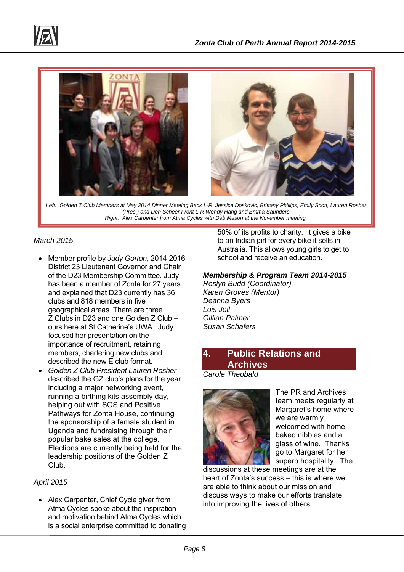



*Left: Golden Z Club Members at May 2014 Dinner Meeting Back L-R Jessica Doskovic, Brittany Phillips, Emily Scott, Lauren Rosher (Pres.) and Den Scheer Front L-R Wendy Hang and Emma Saunders Right: Alex Carpenter from Atma Cycles with Deb Mason at the November meeting.* 

#### *March 2015*

- Member profile by *Judy Gorton,* 2014-2016 District 23 Lieutenant Governor and Chair of the D23 Membership Committee. Judy has been a member of Zonta for 27 years and explained that D23 currently has 36 clubs and 818 members in five geographical areas. There are three Z Clubs in D23 and one Golden Z Club – ours here at St Catherine's UWA. Judy focused her presentation on the importance of recruitment, retaining members, chartering new clubs and described the new E club format.
- *Golden Z Club President Lauren Rosher* described the GZ club's plans for the year including a major networking event, running a birthing kits assembly day, helping out with SOS and Positive Pathways for Zonta House, continuing the sponsorship of a female student in Uganda and fundraising through their popular bake sales at the college. Elections are currently being held for the leadership positions of the Golden Z Club.

#### *April 2015*

 Alex Carpenter, Chief Cycle giver from Atma Cycles spoke about the inspiration and motivation behind Atma Cycles which is a social enterprise committed to donating 50% of its profits to charity. It gives a bike to an Indian girl for every bike it sells in Australia. This allows young girls to get to school and receive an education.

#### *Membership & Program Team 2014-2015*

*Roslyn Budd (Coordinator) Karen Groves (Mentor) Deanna Byers Lois Joll Gillian Palmer Susan Schafers* 

## **4. Public Relations and Archives**

*Carole Theobald* 



The PR and Archives team meets regularly at Margaret's home where we are warmly welcomed with home baked nibbles and a glass of wine. Thanks go to Margaret for her superb hospitality. The

discussions at these meetings are at the heart of Zonta's success – this is where we are able to think about our mission and discuss ways to make our efforts translate into improving the lives of others.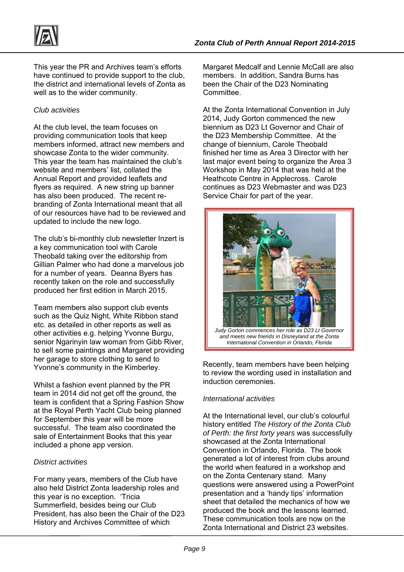

This year the PR and Archives team's efforts have continued to provide support to the club, the district and international levels of Zonta as well as to the wider community.

#### *Club activities*

At the club level, the team focuses on providing communication tools that keep members informed, attract new members and showcase Zonta to the wider community. This year the team has maintained the club's website and members' list, collated the Annual Report and provided leaflets and flyers as required. A new string up banner has also been produced. The recent rebranding of Zonta International meant that all of our resources have had to be reviewed and updated to include the new logo.

The club's bi-monthly club newsletter Inzert is a key communication tool with Carole Theobald taking over the editorship from Gillian Palmer who had done a marvelous job for a number of years. Deanna Byers has recently taken on the role and successfully produced her first edition in March 2015.

Team members also support club events such as the Quiz Night, White Ribbon stand etc. as detailed in other reports as well as other activities e.g. helping Yvonne Burgu, senior Ngarinyin law woman from Gibb River, to sell some paintings and Margaret providing her garage to store clothing to send to Yvonne's community in the Kimberley.

Whilst a fashion event planned by the PR team in 2014 did not get off the ground, the team is confident that a Spring Fashion Show at the Royal Perth Yacht Club being planned for September this year will be more successful. The team also coordinated the sale of Entertainment Books that this year included a phone app version.

#### *District activities*

For many years, members of the Club have also held District Zonta leadership roles and this year is no exception. 'Tricia Summerfield, besides being our Club President, has also been the Chair of the D23 History and Archives Committee of which

Margaret Medcalf and Lennie McCall are also members. In addition, Sandra Burns has been the Chair of the D23 Nominating Committee.

At the Zonta International Convention in July 2014, Judy Gorton commenced the new biennium as D23 Lt Governor and Chair of the D23 Membership Committee. At the change of biennium, Carole Theobald finished her time as Area 3 Director with her last major event being to organize the Area 3 Workshop in May 2014 that was held at the Heathcote Centre in Applecross. Carole continues as D23 Webmaster and was D23 Service Chair for part of the year.



Recently, team members have been helping to review the wording used in installation and induction ceremonies.

#### *International activities*

At the International level, our club's colourful history entitled *The History of the Zonta Club of Perth: the first forty years* was successfully showcased at the Zonta International Convention in Orlando, Florida. The book generated a lot of interest from clubs around the world when featured in a workshop and on the Zonta Centenary stand. Many questions were answered using a PowerPoint presentation and a 'handy tips' information sheet that detailed the mechanics of how we produced the book and the lessons learned. These communication tools are now on the Zonta International and District 23 websites.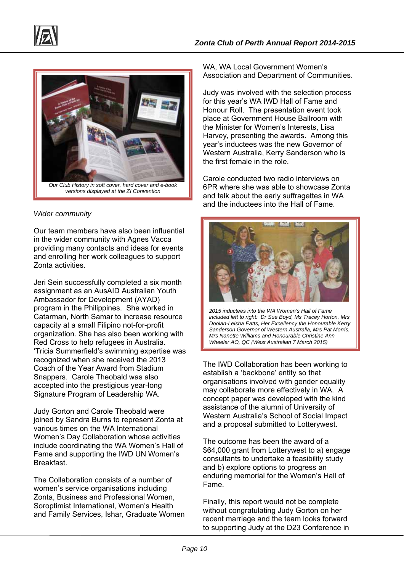



#### *versions displayed at the ZI Convention*

#### *Wider community*

Our team members have also been influential in the wider community with Agnes Vacca providing many contacts and ideas for events and enrolling her work colleagues to support Zonta activities.

Jeri Sein successfully completed a six month assignment as an AusAID Australian Youth Ambassador for Development (AYAD) program in the Philippines. She worked in Catarman, North Samar to increase resource capacity at a small Filipino not-for-profit organization. She has also been working with Red Cross to help refugees in Australia. 'Tricia Summerfield's swimming expertise was recognized when she received the 2013 Coach of the Year Award from Stadium Snappers. Carole Theobald was also accepted into the prestigious year-long Signature Program of Leadership WA.

Judy Gorton and Carole Theobald were joined by Sandra Burns to represent Zonta at various times on the WA International Women's Day Collaboration whose activities include coordinating the WA Women's Hall of Fame and supporting the IWD UN Women's Breakfast.

The Collaboration consists of a number of women's service organisations including Zonta, Business and Professional Women, Soroptimist International, Women's Health and Family Services, Ishar, Graduate Women WA, WA Local Government Women's Association and Department of Communities.

Judy was involved with the selection process for this year's WA IWD Hall of Fame and Honour Roll. The presentation event took place at Government House Ballroom with the Minister for Women's Interests, Lisa Harvey, presenting the awards. Among this year's inductees was the new Governor of Western Australia, Kerry Sanderson who is the first female in the role.

Carole conducted two radio interviews on 6PR where she was able to showcase Zonta and talk about the early suffragettes in WA and the inductees into the Hall of Fame.



*2015 inductees into the WA Women's Hall of Fame included left to right: Dr Sue Boyd, Ms Tracey Horton, Mrs Doolan-Leisha Eatts, Her Excellency the Honourable Kerry Sanderson Governor of Western Australia, Mrs Pat Morris, Mrs Nanette Williams and Honourable Christine Ann Wheeler AO, QC (West Australian 7 March 2015)*

The IWD Collaboration has been working to establish a 'backbone' entity so that organisations involved with gender equality may collaborate more effectively in WA. A concept paper was developed with the kind assistance of the alumni of University of Western Australia's School of Social Impact and a proposal submitted to Lotterywest.

The outcome has been the award of a \$64,000 grant from Lotterywest to a) engage consultants to undertake a feasibility study and b) explore options to progress an enduring memorial for the Women's Hall of Fame.

Finally, this report would not be complete without congratulating Judy Gorton on her recent marriage and the team looks forward to supporting Judy at the D23 Conference in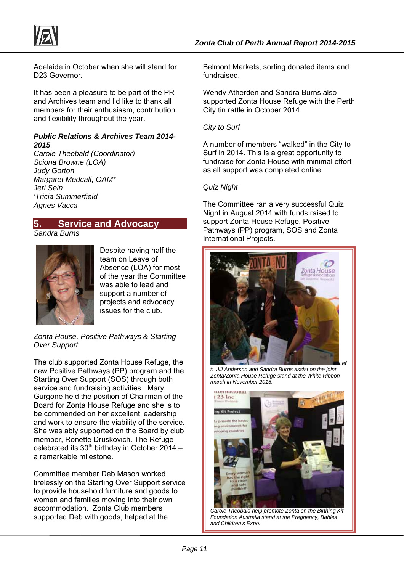

Adelaide in October when she will stand for D23 Governor.

It has been a pleasure to be part of the PR and Archives team and I'd like to thank all members for their enthusiasm, contribution and flexibility throughout the year.

#### *Public Relations & Archives Team 2014- 2015*

*Carole Theobald (Coordinator) Sciona Browne (LOA) Judy Gorton Margaret Medcalf, OAM\* Jeri Sein 'Tricia Summerfield Agnes Vacca* 

# **5. Service and Advocacy**

*Sandra Burns* 



Despite having half the team on Leave of Absence (LOA) for most of the year the Committee was able to lead and support a number of projects and advocacy issues for the club.

*Zonta House, Positive Pathways & Starting Over Support* 

The club supported Zonta House Refuge, the new Positive Pathways (PP) program and the Starting Over Support (SOS) through both service and fundraising activities. Mary Gurgone held the position of Chairman of the Board for Zonta House Refuge and she is to be commended on her excellent leadership and work to ensure the viability of the service. She was ably supported on the Board by club member, Ronette Druskovich. The Refuge celebrated its  $30<sup>th</sup>$  birthday in October 2014 – a remarkable milestone.

Committee member Deb Mason worked tirelessly on the Starting Over Support service to provide household furniture and goods to women and families moving into their own accommodation. Zonta Club members supported Deb with goods, helped at the

Belmont Markets, sorting donated items and fundraised.

Wendy Atherden and Sandra Burns also supported Zonta House Refuge with the Perth City tin rattle in October 2014.

*City to Surf*

A number of members "walked" in the City to Surf in 2014. This is a great opportunity to fundraise for Zonta House with minimal effort as all support was completed online.

#### *Quiz Night*

The Committee ran a very successful Quiz Night in August 2014 with funds raised to support Zonta House Refuge, Positive Pathways (PP) program, SOS and Zonta International Projects.



*t: Jill Anderson and Sandra Burns assist on the joint Zonta/Zonta House Refuge stand at the White Ribbon march in November 2015.* 



*Carole Theobald help promote Zonta on the Birthing Kit Foundation Australia stand at the Pregnancy, Babies and Children's Expo.*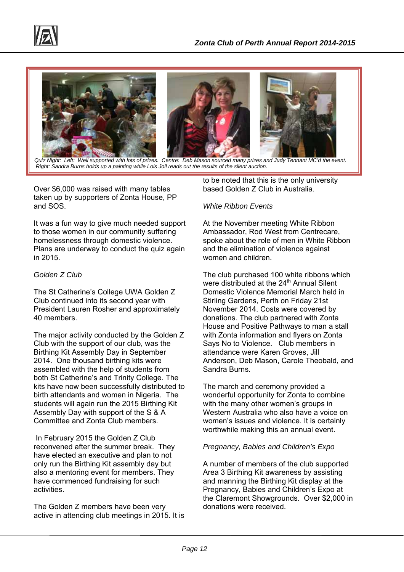



 *Quiz Night: Left: Well supported with lots of prizes. Centre: Deb Mason sourced many prizes and Judy Tennant MC'd the event. Right: Sandra Burns holds up a painting while Lois Joll reads out the results of the silent auction.* 

Over \$6,000 was raised with many tables taken up by supporters of Zonta House, PP and SOS.

It was a fun way to give much needed support to those women in our community suffering homelessness through domestic violence. Plans are underway to conduct the quiz again in 2015.

#### *Golden Z Club*

The St Catherine's College UWA Golden Z Club continued into its second year with President Lauren Rosher and approximately 40 members.

The major activity conducted by the Golden Z Club with the support of our club, was the Birthing Kit Assembly Day in September 2014. One thousand birthing kits were assembled with the help of students from both St Catherine's and Trinity College. The kits have now been successfully distributed to birth attendants and women in Nigeria. The students will again run the 2015 Birthing Kit Assembly Day with support of the S & A Committee and Zonta Club members.

 In February 2015 the Golden Z Club reconvened after the summer break. They have elected an executive and plan to not only run the Birthing Kit assembly day but also a mentoring event for members. They have commenced fundraising for such activities.

The Golden Z members have been very active in attending club meetings in 2015. It is to be noted that this is the only university based Golden Z Club in Australia.

#### *White Ribbon Events*

At the November meeting White Ribbon Ambassador, Rod West from Centrecare, spoke about the role of men in White Ribbon and the elimination of violence against women and children.

The club purchased 100 white ribbons which were distributed at the 24<sup>th</sup> Annual Silent Domestic Violence Memorial March held in Stirling Gardens, Perth on Friday 21st November 2014. Costs were covered by donations. The club partnered with Zonta House and Positive Pathways to man a stall with Zonta information and flyers on Zonta Says No to Violence. Club members in attendance were Karen Groves, Jill Anderson, Deb Mason, Carole Theobald, and Sandra Burns.

The march and ceremony provided a wonderful opportunity for Zonta to combine with the many other women's groups in Western Australia who also have a voice on women's issues and violence. It is certainly worthwhile making this an annual event.

#### *Pregnancy, Babies and Children's Expo*

A number of members of the club supported Area 3 Birthing Kit awareness by assisting and manning the Birthing Kit display at the Pregnancy, Babies and Children's Expo at the Claremont Showgrounds. Over \$2,000 in donations were received.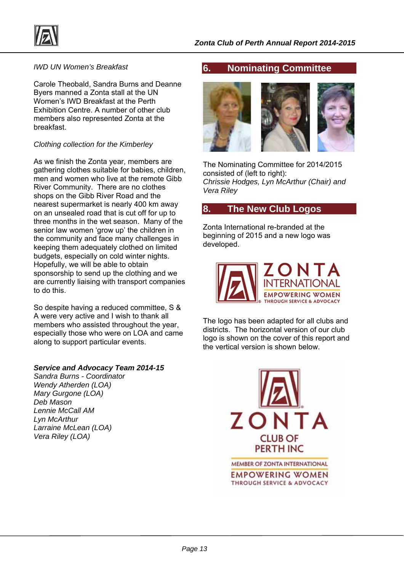

#### *IWD UN Women's Breakfast*

Carole Theobald, Sandra Burns and Deanne Byers manned a Zonta stall at the UN Women's IWD Breakfast at the Perth Exhibition Centre. A number of other club members also represented Zonta at the breakfast.

#### *Clothing collection for the Kimberley*

As we finish the Zonta year, members are gathering clothes suitable for babies, children, men and women who live at the remote Gibb River Community. There are no clothes shops on the Gibb River Road and the nearest supermarket is nearly 400 km away on an unsealed road that is cut off for up to three months in the wet season. Many of the senior law women 'grow up' the children in the community and face many challenges in keeping them adequately clothed on limited budgets, especially on cold winter nights. Hopefully, we will be able to obtain sponsorship to send up the clothing and we are currently liaising with transport companies to do this.

So despite having a reduced committee, S & A were very active and I wish to thank all members who assisted throughout the year, especially those who were on LOA and came along to support particular events.

#### *Service and Advocacy Team 2014-15*

*Sandra Burns - Coordinator Wendy Atherden (LOA) Mary Gurgone (LOA) Deb Mason Lennie McCall AM Lyn McArthur Larraine McLean (LOA) Vera Riley (LOA)* 

#### **6. Nominating Committee**



The Nominating Committee for 2014/2015 consisted of (left to right): *Chrissie Hodges, Lyn McArthur (Chair) and Vera Riley* 

#### **8. The New Club Logos**

Zonta International re-branded at the beginning of 2015 and a new logo was developed.



The logo has been adapted for all clubs and districts. The horizontal version of our club logo is shown on the cover of this report and the vertical version is shown below.



MEMBER OF ZONTA INTERNATIONAL **EMPOWERING WOMEN** THROUGH SERVICE & ADVOCACY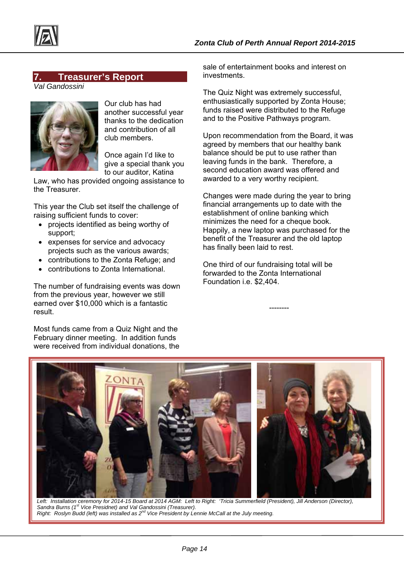

#### **7. Treasurer's Report**

*Val Gandossini* 



Our club has had another successful year thanks to the dedication and contribution of all club members.

Once again I'd like to give a special thank you to our auditor, Katina

Law, who has provided ongoing assistance to the Treasurer.

This year the Club set itself the challenge of raising sufficient funds to cover:

- projects identified as being worthy of support;
- expenses for service and advocacy projects such as the various awards;
- contributions to the Zonta Refuge; and
- contributions to Zonta International.

The number of fundraising events was down from the previous year, however we still earned over \$10,000 which is a fantastic result.

Most funds came from a Quiz Night and the February dinner meeting. In addition funds were received from individual donations, the

sale of entertainment books and interest on investments.

The Quiz Night was extremely successful, enthusiastically supported by Zonta House; funds raised were distributed to the Refuge and to the Positive Pathways program.

Upon recommendation from the Board, it was agreed by members that our healthy bank balance should be put to use rather than leaving funds in the bank. Therefore, a second education award was offered and awarded to a very worthy recipient.

Changes were made during the year to bring financial arrangements up to date with the establishment of online banking which minimizes the need for a cheque book. Happily, a new laptop was purchased for the benefit of the Treasurer and the old laptop has finally been laid to rest.

One third of our fundraising total will be forwarded to the Zonta International Foundation i.e. \$2,404.

--------



Left: Installation ceremony for 2014-15 Board at 2014 AGM: Left to Right: 'Tricia Summerfield (President), Jill Anderson (Director), *Sandra Burns (1st Vice Presidnet) and Val Gandossini (Treasurer). Right: Roslyn Budd (left) was installed as 2nd Vice President by Lennie McCall at the July meeting.*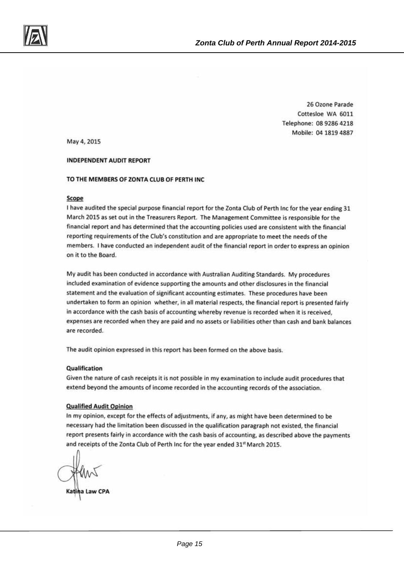

26 Ozone Parade Cottesloe WA 6011 Telephone: 08 9286 4218 Mobile: 04 1819 4887

May 4, 2015

#### **INDEPENDENT AUDIT REPORT**

#### TO THE MEMBERS OF ZONTA CLUB OF PERTH INC

#### Scope

I have audited the special purpose financial report for the Zonta Club of Perth Inc for the year ending 31 March 2015 as set out in the Treasurers Report. The Management Committee is responsible for the financial report and has determined that the accounting policies used are consistent with the financial reporting requirements of the Club's constitution and are appropriate to meet the needs of the members. I have conducted an independent audit of the financial report in order to express an opinion on it to the Board.

My audit has been conducted in accordance with Australian Auditing Standards. My procedures included examination of evidence supporting the amounts and other disclosures in the financial statement and the evaluation of significant accounting estimates. These procedures have been undertaken to form an opinion whether, in all material respects, the financial report is presented fairly in accordance with the cash basis of accounting whereby revenue is recorded when it is received, expenses are recorded when they are paid and no assets or liabilities other than cash and bank balances are recorded.

The audit opinion expressed in this report has been formed on the above basis.

#### Qualification

Given the nature of cash receipts it is not possible in my examination to include audit procedures that extend beyond the amounts of income recorded in the accounting records of the association.

#### **Qualified Audit Opinion**

In my opinion, except for the effects of adjustments, if any, as might have been determined to be necessary had the limitation been discussed in the qualification paragraph not existed, the financial report presents fairly in accordance with the cash basis of accounting, as described above the payments and receipts of the Zonta Club of Perth Inc for the year ended 31st March 2015.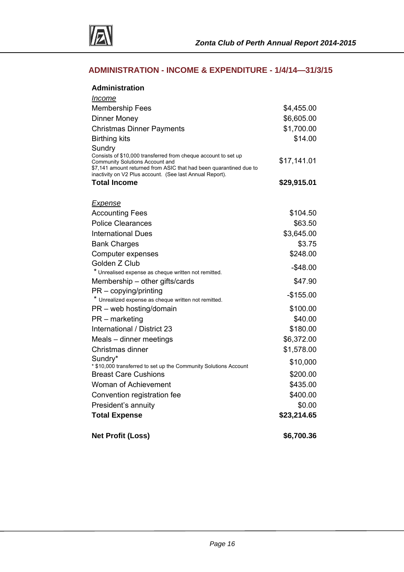

#### **ADMINISTRATION - INCOME & EXPENDITURE - 1/4/14—31/3/15**

| <b>Administration</b>                                                                             |             |
|---------------------------------------------------------------------------------------------------|-------------|
| <i><u>Income</u></i>                                                                              |             |
| <b>Membership Fees</b>                                                                            | \$4,455.00  |
| <b>Dinner Money</b>                                                                               | \$6,605.00  |
| <b>Christmas Dinner Payments</b>                                                                  | \$1,700.00  |
| <b>Birthing kits</b>                                                                              | \$14.00     |
| Sundry                                                                                            |             |
| Consists of \$10,000 transferred from cheque account to set up<br>Community Solutions Account and | \$17,141.01 |
| \$7,141 amount returned from ASIC that had been quarantined due to                                |             |
| inactivity on V2 Plus account. (See last Annual Report).<br><b>Total Income</b>                   | \$29,915.01 |
|                                                                                                   |             |
| <b>Expense</b>                                                                                    |             |
| <b>Accounting Fees</b>                                                                            | \$104.50    |
| <b>Police Clearances</b>                                                                          | \$63.50     |
| <b>International Dues</b>                                                                         | \$3,645.00  |
| <b>Bank Charges</b>                                                                               | \$3.75      |
| Computer expenses                                                                                 | \$248.00    |
| Golden Z Club                                                                                     | $-$48.00$   |
| * Unrealised expense as cheque written not remitted.                                              |             |
| Membership – other gifts/cards                                                                    | \$47.90     |
| $PR$ – copying/printing<br>* Unrealized expense as cheque written not remitted.                   | $-$155.00$  |
| PR - web hosting/domain                                                                           | \$100.00    |
| $PR$ – marketing                                                                                  | \$40.00     |
| International / District 23                                                                       | \$180.00    |
| Meals - dinner meetings                                                                           | \$6,372.00  |
| Christmas dinner                                                                                  | \$1,578.00  |
| Sundry*                                                                                           | \$10,000    |
| * \$10,000 transferred to set up the Community Solutions Account                                  |             |
| <b>Breast Care Cushions</b>                                                                       | \$200.00    |
| Woman of Achievement                                                                              | \$435.00    |
| Convention registration fee                                                                       | \$400.00    |
| President's annuity                                                                               | \$0.00      |
| <b>Total Expense</b>                                                                              | \$23,214.65 |
| <b>Net Profit (Loss)</b>                                                                          | \$6,700.36  |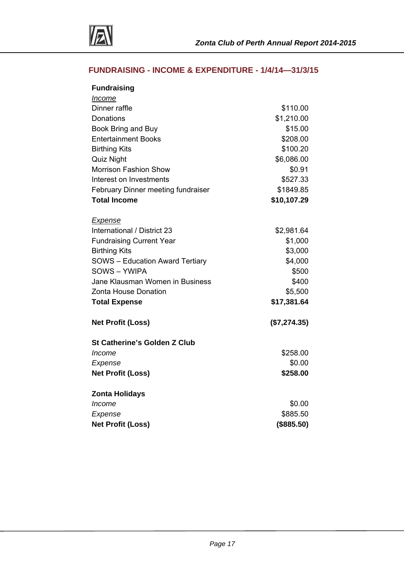

#### **FUNDRAISING - INCOME & EXPENDITURE - 1/4/14—31/3/15**

| <b>Fundraising</b>                     |              |
|----------------------------------------|--------------|
| <u>Income</u>                          |              |
| Dinner raffle                          | \$110.00     |
| Donations                              | \$1,210.00   |
| Book Bring and Buy                     | \$15.00      |
| <b>Entertainment Books</b>             | \$208.00     |
| <b>Birthing Kits</b>                   | \$100.20     |
| <b>Quiz Night</b>                      | \$6,086.00   |
| <b>Morrison Fashion Show</b>           | \$0.91       |
| Interest on Investments                | \$527.33     |
| February Dinner meeting fundraiser     | \$1849.85    |
| <b>Total Income</b>                    | \$10,107.29  |
|                                        |              |
| <b>Expense</b>                         |              |
| International / District 23            | \$2,981.64   |
| <b>Fundraising Current Year</b>        | \$1,000      |
| <b>Birthing Kits</b>                   | \$3,000      |
| <b>SOWS</b> - Education Award Tertiary | \$4,000      |
| <b>SOWS-YWIPA</b>                      | \$500        |
| Jane Klausman Women in Business        | \$400        |
| Zonta House Donation                   | \$5,500      |
| <b>Total Expense</b>                   | \$17,381.64  |
| <b>Net Profit (Loss)</b>               | (\$7,274.35) |
| <b>St Catherine's Golden Z Club</b>    |              |
| Income                                 | \$258.00     |
| Expense                                | \$0.00       |
| <b>Net Profit (Loss)</b>               | \$258.00     |
|                                        |              |
| <b>Zonta Holidays</b>                  |              |
| Income                                 | \$0.00       |
| Expense                                | \$885.50     |
| <b>Net Profit (Loss)</b>               | (\$885.50)   |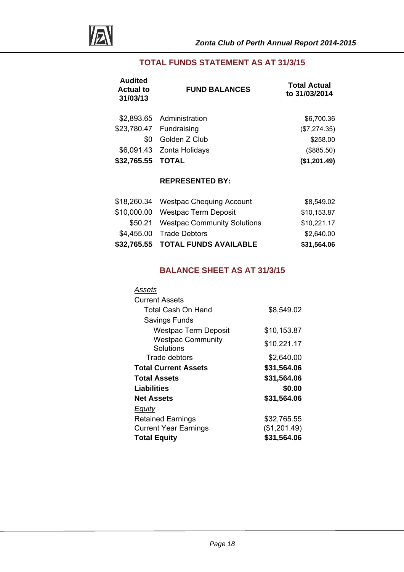

#### **TOTAL FUNDS STATEMENT AS AT 31/3/15**

| <b>FUND BALANCES</b>      | <b>Total Actual</b><br>to 31/03/2014 |
|---------------------------|--------------------------------------|
| \$2,893.65 Administration | \$6,700.36                           |
| \$23,780.47 Fundraising   | (\$7,274.35)                         |
| Golden Z Club             | \$258.00                             |
| \$6,091.43 Zonta Holidays | (\$885.50)                           |
| \$32,765.55 TOTAL         | (\$1,201.49)                         |
|                           |                                      |

#### **REPRESENTED BY:**

| \$32,765.55 TOTAL FUNDS AVAILABLE    | \$31,564.06 |
|--------------------------------------|-------------|
| \$4,455.00 Trade Debtors             | \$2,640.00  |
| \$50.21 Westpac Community Solutions  | \$10,221.17 |
| \$10,000.00 Westpac Term Deposit     | \$10,153.87 |
| \$18,260.34 Westpac Chequing Account | \$8,549.02  |

#### **BALANCE SHEET AS AT 31/3/15**

| Assets                                |              |
|---------------------------------------|--------------|
| <b>Current Assets</b>                 |              |
| Total Cash On Hand                    | \$8,549.02   |
| Savings Funds                         |              |
| Westpac Term Deposit                  | \$10,153.87  |
| <b>Westpac Community</b><br>Solutions | \$10,221.17  |
| Trade debtors                         | \$2,640.00   |
| <b>Total Current Assets</b>           | \$31,564.06  |
| <b>Total Assets</b>                   | \$31,564.06  |
| Liabilities                           | \$0.00       |
| <b>Net Assets</b>                     | \$31,564.06  |
| Equity                                |              |
| <b>Retained Earnings</b>              | \$32,765.55  |
| <b>Current Year Earnings</b>          | (\$1,201.49) |
| <b>Total Equity</b>                   | \$31,564.06  |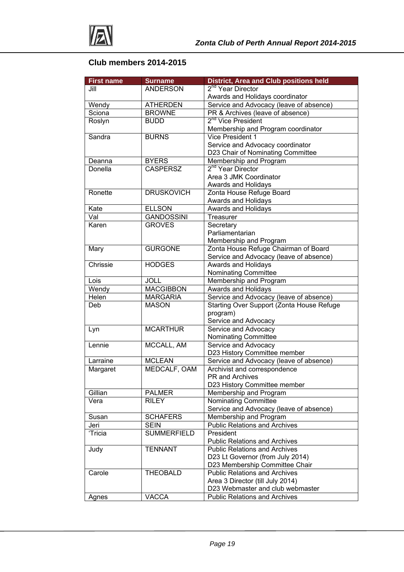

### **Club members 2014-2015**

| <b>First name</b> | <b>Surname</b>     | <b>District, Area and Club positions held</b>                        |
|-------------------|--------------------|----------------------------------------------------------------------|
| Jill              | <b>ANDERSON</b>    | 2 <sup>nd</sup> Year Director                                        |
|                   |                    | Awards and Holidays coordinator                                      |
| Wendy             | <b>ATHERDEN</b>    | Service and Advocacy (leave of absence)                              |
| Sciona            | <b>BROWNE</b>      | PR & Archives (leave of absence)                                     |
| Roslyn            | <b>BUDD</b>        | 2 <sup>nd</sup> Vice President                                       |
|                   |                    | Membership and Program coordinator                                   |
| Sandra            | <b>BURNS</b>       | <b>Vice President 1</b>                                              |
|                   |                    | Service and Advocacy coordinator                                     |
|                   |                    | D23 Chair of Nominating Committee                                    |
| Deanna            | <b>BYERS</b>       | Membership and Program                                               |
| Donella           | <b>CASPERSZ</b>    | 2 <sup>nd</sup> Year Director                                        |
|                   |                    | Area 3 JMK Coordinator                                               |
|                   |                    | Awards and Holidays                                                  |
| Ronette           | <b>DRUSKOVICH</b>  | Zonta House Refuge Board                                             |
|                   |                    | Awards and Holidays                                                  |
| Kate              | <b>ELLSON</b>      | Awards and Holidays                                                  |
| Val               | <b>GANDOSSINI</b>  | Treasurer                                                            |
| Karen             | <b>GROVES</b>      | Secretary                                                            |
|                   |                    | Parliamentarian                                                      |
|                   |                    | Membership and Program                                               |
| Mary              | <b>GURGONE</b>     | Zonta House Refuge Chairman of Board                                 |
|                   |                    | Service and Advocacy (leave of absence)                              |
| Chrissie          | <b>HODGES</b>      | <b>Awards and Holidays</b>                                           |
|                   |                    | <b>Nominating Committee</b>                                          |
| Lois              | <b>JOLL</b>        | Membership and Program                                               |
| Wendy             | <b>MACGIBBON</b>   | <b>Awards and Holidays</b>                                           |
| Helen             | <b>MARGARIA</b>    | Service and Advocacy (leave of absence)                              |
| Deb               | <b>MASON</b>       | Starting Over Support (Zonta House Refuge                            |
|                   |                    | program)                                                             |
|                   |                    | Service and Advocacy                                                 |
| Lyn               | <b>MCARTHUR</b>    | Service and Advocacy                                                 |
|                   |                    | Nominating Committee                                                 |
| Lennie            | MCCALL, AM         | Service and Advocacy                                                 |
|                   |                    | D23 History Committee member                                         |
| Larraine          | <b>MCLEAN</b>      | Service and Advocacy (leave of absence)                              |
| Margaret          | MEDCALF, OAM       | Archivist and correspondence                                         |
|                   |                    | PR and Archives                                                      |
|                   |                    | D23 History Committee member                                         |
| Gillian           | <b>PALMER</b>      | Membership and Program                                               |
| Vera              | <b>RILEY</b>       | Nominating Committee                                                 |
|                   |                    | Service and Advocacy (leave of absence)                              |
| Susan             | <b>SCHAFERS</b>    | Membership and Program                                               |
| Jeri              | <b>SEIN</b>        | <b>Public Relations and Archives</b>                                 |
| 'Tricia           | <b>SUMMERFIELD</b> | President                                                            |
|                   |                    | <b>Public Relations and Archives</b>                                 |
| Judy              | <b>TENNANT</b>     | <b>Public Relations and Archives</b>                                 |
|                   |                    | D23 Lt Governor (from July 2014)                                     |
|                   |                    | D23 Membership Committee Chair                                       |
| Carole            | <b>THEOBALD</b>    | <b>Public Relations and Archives</b>                                 |
|                   |                    | Area 3 Director (till July 2014)<br>D23 Webmaster and club webmaster |
|                   | <b>VACCA</b>       | <b>Public Relations and Archives</b>                                 |
| Agnes             |                    |                                                                      |